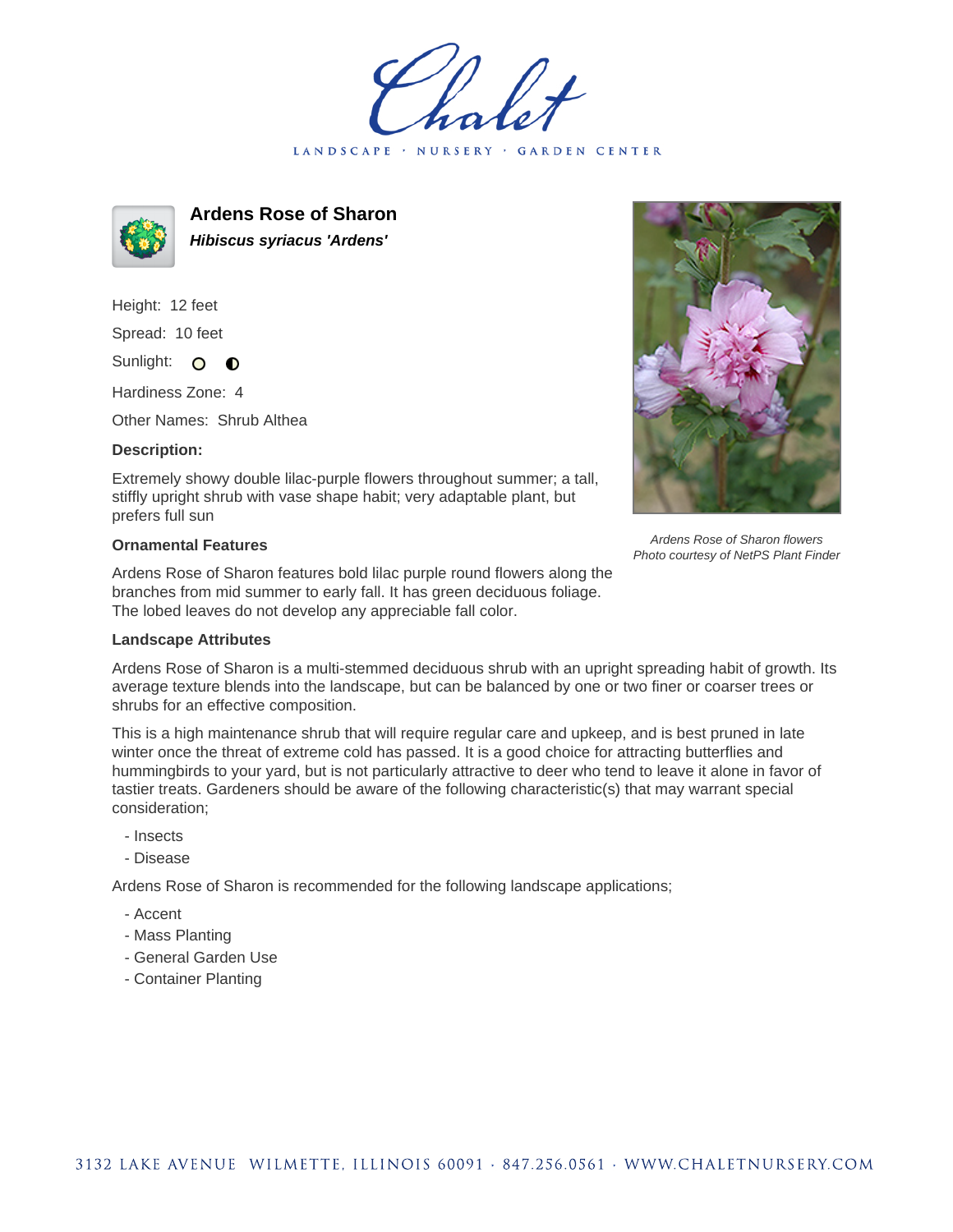LANDSCAPE · NURSERY **GARDEN CENTER** 



**Ardens Rose of Sharon Hibiscus syriacus 'Ardens'**

Height: 12 feet Spread: 10 feet Sunlight: O

Hardiness Zone: 4

Other Names: Shrub Althea

 $\bullet$ 

## **Description:**

Extremely showy double lilac-purple flowers throughout summer; a tall, stiffly upright shrub with vase shape habit; very adaptable plant, but prefers full sun

## **Ornamental Features**

Ardens Rose of Sharon features bold lilac purple round flowers along the branches from mid summer to early fall. It has green deciduous foliage. The lobed leaves do not develop any appreciable fall color.



Ardens Rose of Sharon is a multi-stemmed deciduous shrub with an upright spreading habit of growth. Its average texture blends into the landscape, but can be balanced by one or two finer or coarser trees or shrubs for an effective composition.

This is a high maintenance shrub that will require regular care and upkeep, and is best pruned in late winter once the threat of extreme cold has passed. It is a good choice for attracting butterflies and hummingbirds to your yard, but is not particularly attractive to deer who tend to leave it alone in favor of tastier treats. Gardeners should be aware of the following characteristic(s) that may warrant special consideration;

- Insects
- Disease

Ardens Rose of Sharon is recommended for the following landscape applications;

- Accent
- Mass Planting
- General Garden Use
- Container Planting



Ardens Rose of Sharon flowers Photo courtesy of NetPS Plant Finder